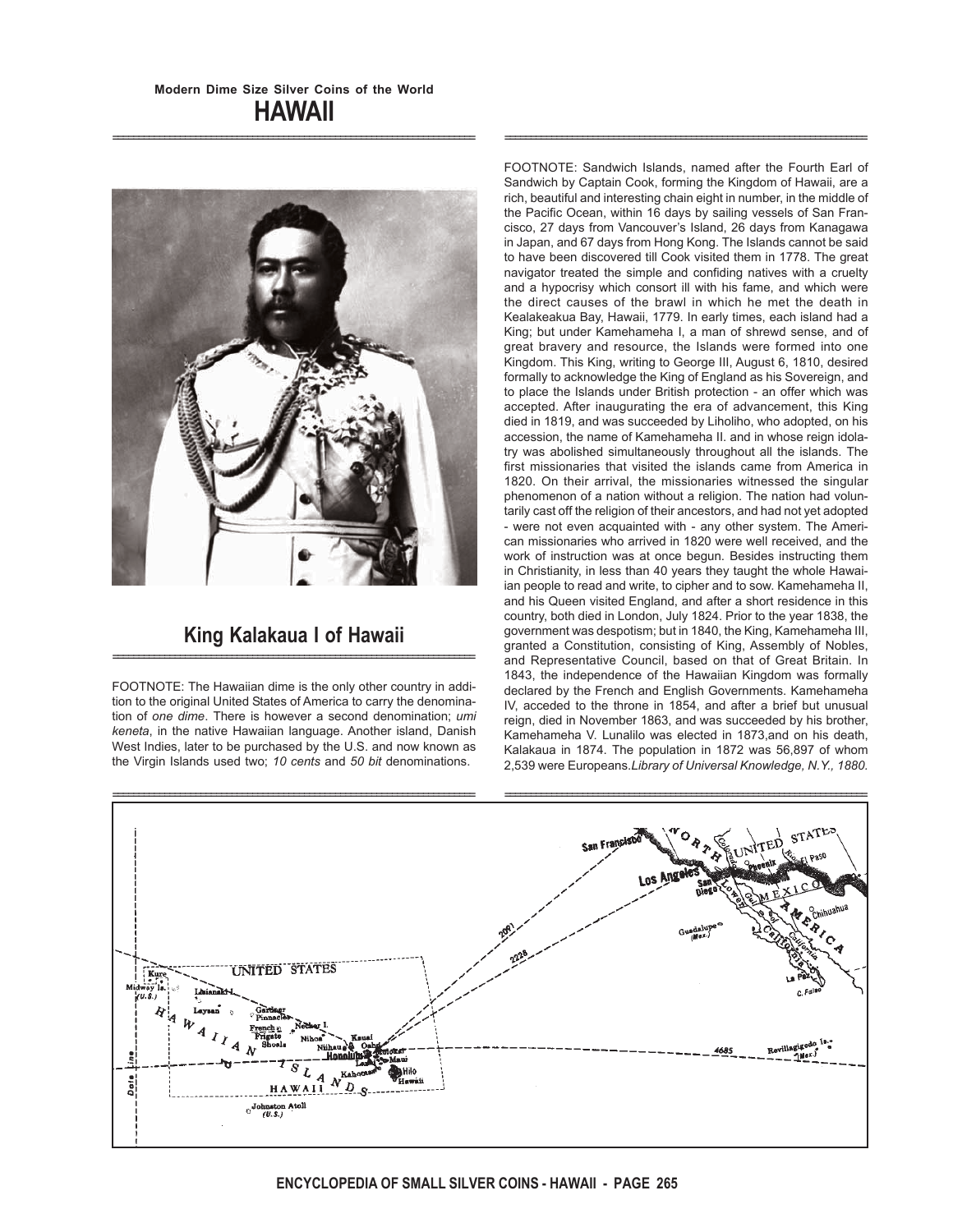======================================================================



# **King Kalakaua I of Hawaii** ======================================================================

FOOTNOTE: The Hawaiian dime is the only other country in addition to the original United States of America to carry the denomination of *one dime*. There is however a second denomination; *umi keneta*, in the native Hawaiian language. Another island, Danish West Indies, later to be purchased by the U.S. and now known as the Virgin Islands used two; *10 cents* and *50 bit* denominations.

FOOTNOTE: Sandwich Islands, named after the Fourth Earl of Sandwich by Captain Cook, forming the Kingdom of Hawaii, are a rich, beautiful and interesting chain eight in number, in the middle of the Pacific Ocean, within 16 days by sailing vessels of San Francisco, 27 days from Vancouver's Island, 26 days from Kanagawa in Japan, and 67 days from Hong Kong. The Islands cannot be said to have been discovered till Cook visited them in 1778. The great navigator treated the simple and confiding natives with a cruelty and a hypocrisy which consort ill with his fame, and which were the direct causes of the brawl in which he met the death in Kealakeakua Bay, Hawaii, 1779. In early times, each island had a King; but under Kamehameha I, a man of shrewd sense, and of great bravery and resource, the Islands were formed into one Kingdom. This King, writing to George III, August 6, 1810, desired formally to acknowledge the King of England as his Sovereign, and to place the Islands under British protection - an offer which was accepted. After inaugurating the era of advancement, this King died in 1819, and was succeeded by Liholiho, who adopted, on his accession, the name of Kamehameha II. and in whose reign idolatry was abolished simultaneously throughout all the islands. The first missionaries that visited the islands came from America in 1820. On their arrival, the missionaries witnessed the singular phenomenon of a nation without a religion. The nation had voluntarily cast off the religion of their ancestors, and had not yet adopted - were not even acquainted with - any other system. The American missionaries who arrived in 1820 were well received, and the work of instruction was at once begun. Besides instructing them in Christianity, in less than 40 years they taught the whole Hawaiian people to read and write, to cipher and to sow. Kamehameha II, and his Queen visited England, and after a short residence in this country, both died in London, July 1824. Prior to the year 1838, the government was despotism; but in 1840, the King, Kamehameha III, granted a Constitution, consisting of King, Assembly of Nobles, and Representative Council, based on that of Great Britain. In 1843, the independence of the Hawaiian Kingdom was formally declared by the French and English Governments. Kamehameha IV, acceded to the throne in 1854, and after a brief but unusual reign, died in November 1863, and was succeeded by his brother, Kamehameha V. Lunalilo was elected in 1873,and on his death, Kalakaua in 1874. The population in 1872 was 56,897 of whom 2,539 were Europeans.*Library of Universal Knowledge, N.Y., 1880.*

======================================================================

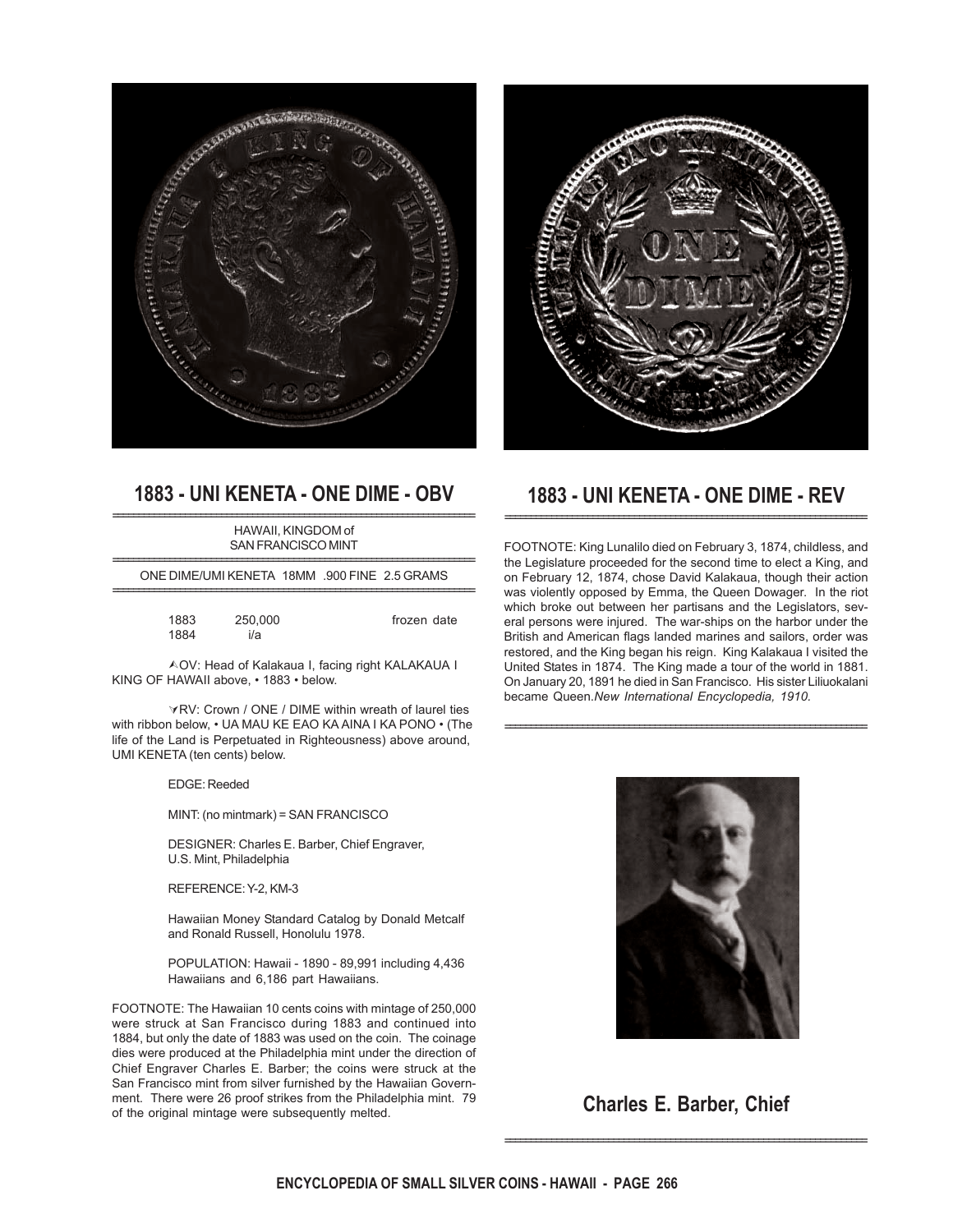



### **1883 - UNI KENETA - ONE DIME - OBV** ======================================================================

HAWAII, KINGDOM of SAN FRANCISCO MINT

====================================================================== ONE DIME/UMI KENETA 18MM .900 FINE 2.5 GRAMS ======================================================================

frozen date

| 1883 | 250,000 |  |
|------|---------|--|
| 1884 | i/a     |  |

¿OV: Head of Kalakaua I, facing right KALAKAUA I KING OF HAWAII above, • 1883 • below.

 $\forall$ RV: Crown / ONE / DIME within wreath of laurel ties with ribbon below, • UA MAU KE EAO KA AINA I KA PONO • (The life of the Land is Perpetuated in Righteousness) above around, UMI KENETA (ten cents) below.

#### EDGE: Reeded

MINT: (no mintmark) = SAN FRANCISCO

DESIGNER: Charles E. Barber, Chief Engraver, U.S. Mint, Philadelphia

REFERENCE: Y-2, KM-3

Hawaiian Money Standard Catalog by Donald Metcalf and Ronald Russell, Honolulu 1978.

POPULATION: Hawaii - 1890 - 89,991 including 4,436 Hawaiians and 6,186 part Hawaiians.

FOOTNOTE: The Hawaiian 10 cents coins with mintage of 250,000 were struck at San Francisco during 1883 and continued into 1884, but only the date of 1883 was used on the coin. The coinage dies were produced at the Philadelphia mint under the direction of Chief Engraver Charles E. Barber; the coins were struck at the San Francisco mint from silver furnished by the Hawaiian Government. There were 26 proof strikes from the Philadelphia mint. 79 of the original mintage were subsequently melted.

### **1883 - UNI KENETA - ONE DIME - REV** ======================================================================

FOOTNOTE: King Lunalilo died on February 3, 1874, childless, and the Legislature proceeded for the second time to elect a King, and on February 12, 1874, chose David Kalakaua, though their action was violently opposed by Emma, the Queen Dowager. In the riot which broke out between her partisans and the Legislators, several persons were injured. The war-ships on the harbor under the British and American flags landed marines and sailors, order was restored, and the King began his reign. King Kalakaua I visited the United States in 1874. The King made a tour of the world in 1881. On January 20, 1891 he died in San Francisco. His sister Liliuokalani became Queen.*New International Encyclopedia, 1910.*

======================================================================



**Charles E. Barber, Chief**

======================================================================